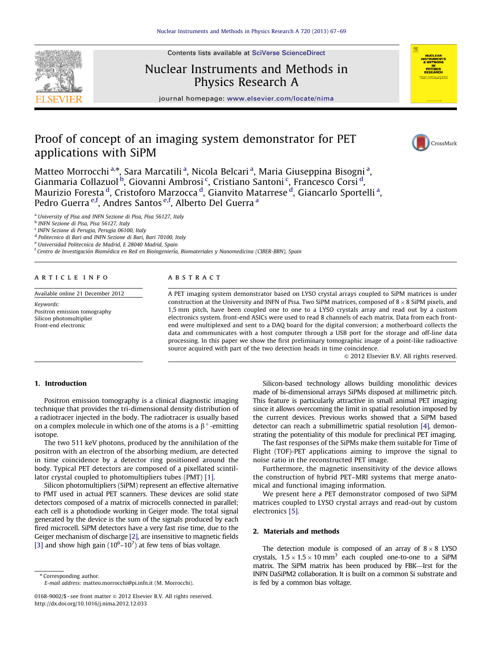Contents lists available at [SciVerse ScienceDirect](www.elsevier.com/locate/nima)



# Nuclear Instruments and Methods in Physics Research A



journal homepage: <www.elsevier.com/locate/nima>

# Proof of concept of an imaging system demonstrator for PET applications with SiPM



Matteo Morrocchi<sup>a,</sup>\*, Sara Marcatili<sup>a</sup>, Nicola Belcari<sup>a</sup>, Maria Giuseppina Bisogni<sup>a</sup>, Gianmaria Collazuol<sup>b</sup>, Giovanni Ambrosi<sup>c</sup>, Cristiano Santoni<sup>c</sup>, Francesco Corsi<sup>d</sup>, Maurizio Foresta <sup>d</sup>, Cristoforo Marzocca <sup>d</sup>, Gianvito Matarrese <sup>d</sup>, Giancarlo Sportelli <sup>a</sup>, Pedro Guerra <sup>e,f</sup>, Andres Santos <sup>e,f</sup>, Alberto Del Guerra <sup>a</sup>

<sup>a</sup> University of Pisa and INFN Sezione di Pisa, Pisa 56127, Italy

<sup>b</sup> INFN Sezione di Pisa, Pisa 56127, Italy

<sup>c</sup> INFN Sezione di Perugia, Perugia 06100, Italy

<sup>d</sup> Politecnico di Bari and INFN Sezione di Bari, Bari 70100, Italy

<sup>e</sup> Universidad Politecnica de Madrid, E 28040 Madrid, Spain

<sup>f</sup> Centro de Investigación Biomédica en Red en Bioingeniería, Biomateriales y Nanomedicina (CIBER-BBN), Spain

### article info

Available online 21 December 2012

Keywords: Positron emission tomography Silicon photomultiplier Front-end electronic

## ABSTRACT

A PET imaging system demonstrator based on LYSO crystal arrays coupled to SiPM matrices is under construction at the University and INFN of Pisa. Two SiPM matrices, composed of  $8 \times 8$  SiPM pixels, and 1,5 mm pitch, have been coupled one to one to a LYSO crystals array and read out by a custom electronics system. front-end ASICs were used to read 8 channels of each matrix. Data from each frontend were multiplexed and sent to a DAQ board for the digital conversion; a motherboard collects the data and communicates with a host computer through a USB port for the storage and off-line data processing. In this paper we show the first preliminary tomographic image of a point-like radioactive source acquired with part of the two detection heads in time coincidence.

 $@$  2012 Elsevier B.V. All rights reserved.

# 1. Introduction

Positron emission tomography is a clinical diagnostic imaging technique that provides the tri-dimensional density distribution of a radiotracer injected in the body. The radiotracer is usually based on a complex molecule in which one of the atoms is a  $\beta^+$ -emitting isotope.

The two 511 keV photons, produced by the annihilation of the positron with an electron of the absorbing medium, are detected in time coincidence by a detector ring positioned around the body. Typical PET detectors are composed of a pixellated scintillator crystal coupled to photomultipliers tubes (PMT) [\[1\].](#page-2-0)

Silicon photomultipliers (SiPM) represent an effective alternative to PMT used in actual PET scanners. These devices are solid state detectors composed of a matrix of microcells connected in parallel; each cell is a photodiode working in Geiger mode. The total signal generated by the device is the sum of the signals produced by each fired microcell. SiPM detectors have a very fast rise time, due to the Geiger mechanism of discharge [\[2\],](#page-2-0) are insensitive to magnetic fields [\[3\]](#page-2-0) and show high gain  $(10^6 - 10^7)$  at few tens of bias voltage.

\* Corresponding author. E-mail address: [matteo.morrocchi@pi.infn.it \(M. Morrocchi\).](mailto:matteo.morrocchi@pi.infn.it)

Silicon-based technology allows building monolithic devices made of bi-dimensional arrays SiPMs disposed at millimetric pitch. This feature is particularly attractive in small animal PET imaging since it allows overcoming the limit in spatial resolution imposed by the current devices. Previous works showed that a SiPM based detector can reach a submillimetric spatial resolution [\[4\]](#page-2-0), demonstrating the potentiality of this module for preclinical PET imaging.

The fast responses of the SiPMs make them suitable for Time of Flight (TOF)-PET applications aiming to improve the signal to noise ratio in the reconstructed PET image.

Furthermore, the magnetic insensitivity of the device allows the construction of hybrid PET–MRI systems that merge anatomical and functional imaging information.

We present here a PET demonstrator composed of two SiPM matrices coupled to LYSO crystal arrays and read-out by custom electronics [\[5\].](#page-2-0)

## 2. Materials and methods

The detection module is composed of an array of  $8 \times 8$  LYSO crystals,  $1.5 \times 1.5 \times 10$  mm<sup>3</sup> each coupled one-to-one to a SiPM matrix. The SiPM matrix has been produced by FBK—Irst for the INFN DaSiPM2 collaboration. It is built on a common Si substrate and is fed by a common bias voltage.

<sup>0168-9002/\$ -</sup> see front matter  $\odot$  2012 Elsevier B.V. All rights reserved. <http://dx.doi.org/10.1016/j.nima.2012.12.033>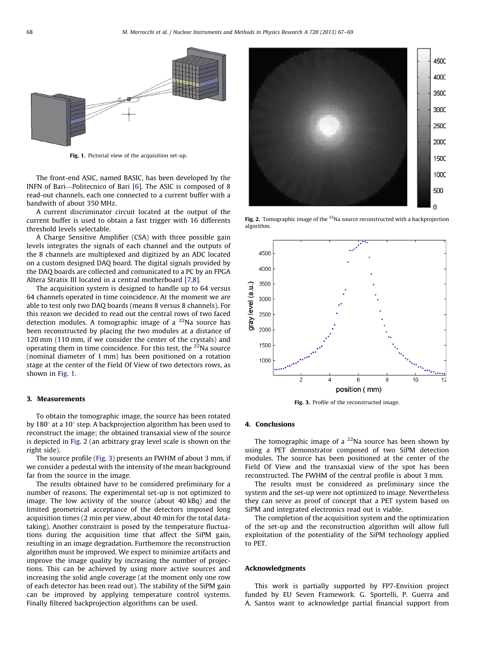

Fig. 1. Pictorial view of the acquisition set-up.

The front-end ASIC, named BASIC, has been developed by the INFN of Bari—Politecnico of Bari [\[6\].](#page-2-0) The ASIC is composed of 8 read-out channels, each one connected to a current buffer with a bandwith of about 350 MHz.

A current discriminator circuit located at the output of the current buffer is used to obtain a fast trigger with 16 differents threshold levels selectable.

A Charge Sensitive Amplifier (CSA) with three possible gain levels integrates the signals of each channel and the outputs of the 8 channels are multiplexed and digitized by an ADC located on a custom designed DAQ board. The digital signals provided by the DAQ boards are collected and comunicated to a PC by an FPGA Altera Stratix III located in a central motherboard [\[7,8\]](#page-2-0).

The acquisition system is designed to handle up to 64 versus 64 channels operated in time coincidence. At the moment we are able to test only two DAQ boards (means 8 versus 8 channels). For this reason we decided to read out the central rows of two faced detection modules. A tomographic image of a  $^{22}$ Na source has been reconstructed by placing the two modules at a distance of 120 mm (110 mm, if we consider the center of the crystals) and operating them in time coincidence. For this test, the  $22$ Na source (nominal diameter of 1 mm) has been positioned on a rotation stage at the center of the Field Of View of two detectors rows, as shown in Fig. 1.

### 3. Measurements

To obtain the tomographic image, the source has been rotated by 180 $^{\circ}$  at a 10 $^{\circ}$  step. A backprojection algorithm has been used to reconstruct the image; the obtained transaxial view of the source is depicted in Fig. 2 (an arbitrary gray level scale is shown on the right side).

The source profile (Fig. 3) presents an FWHM of about 3 mm, if we consider a pedestal with the intensity of the mean background far from the source in the image.

The results obtained have to be considered preliminary for a number of reasons. The experimental set-up is not optimized to image. The low activity of the source (about 40 kBq) and the limited geometrical acceptance of the detectors imposed long acquisition times (2 min per view, about 40 min for the total datataking). Another constraint is posed by the temperature fluctuations during the acquisition time that affect the SiPM gain, resulting in an image degradation. Furthemore the reconstruction algorithm must be improved. We expect to minimize artifacts and improve the image quality by increasing the number of projections. This can be achieved by using more active sources and increasing the solid angle coverage (at the moment only one row of each detector has been read out). The stability of the SiPM gain can be improved by applying temperature control systems. Finally filtered backprojection algorithms can be used.



Fig. 2. Tomographic image of the  $^{22}$ Na source reconstructed with a backprojection algorithm.



Fig. 3. Profile of the reconstructed image.

#### 4. Conclusions

The tomographic image of a  $^{22}$ Na source has been shown by using a PET demonstrator composed of two SiPM detection modules. The source has been positioned at the center of the Field Of View and the transaxial view of the spot has been reconstructed. The FWHM of the central profile is about 3 mm.

The results must be considered as preliminary since the system and the set-up were not optimized to image. Nevertheless they can serve as proof of concept that a PET system based on SiPM and integrated electronics read out is viable.

The completion of the acquisition system and the optimization of the set-up and the reconstruction algorithm will allow full exploitation of the potentiality of the SiPM technology applied to PET.

#### Acknowledgments

This work is partially supported by FP7-Envision project funded by EU Seven Framework. G. Sportelli, P. Guerra and A. Santos want to acknowledge partial financial support from